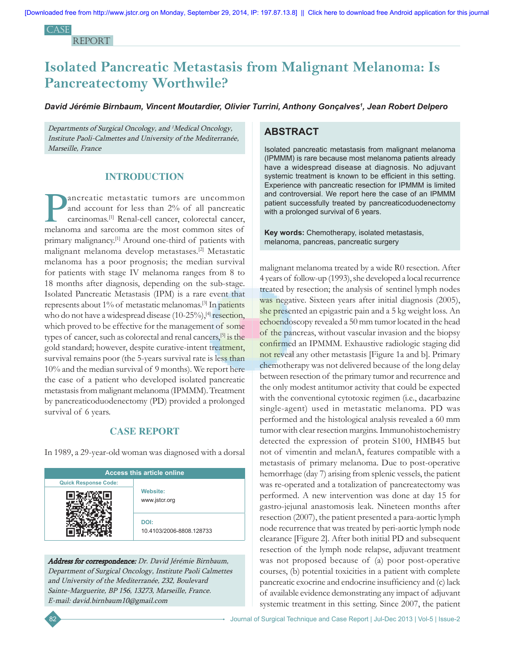**CASE** report

# **Isolated Pancreatic Metastasis from Malignant Melanoma: Is Pancreatectomy Worthwile?**

*David Jérémie Birnbaum, Vincent Moutardier, Olivier Turrini, Anthony Gonçalves1 , Jean Robert Delpero*

Departments of Surgical Oncology, and <sup>1</sup>Medical Oncology, Institute Paoli-Calmettes and University of the Mediterranée, Marseille, France

## **INTRODUCTION**

ancreatic metastatic tumors are uncommon<br>and account for less than 2% of all pancreatic<br>carcinomas.<sup>[1]</sup> Renal-cell cancer, colorectal cancer, and account for less than 2% of all pancreatic carcinomas.[1] Renal-cell cancer, colorectal cancer, melanoma and sarcoma are the most common sites of primary malignancy.[1] Around one-third of patients with malignant melanoma develop metastases.[2] Metastatic melanoma has a poor prognosis; the median survival for patients with stage IV melanoma ranges from 8 to 18 months after diagnosis, depending on the sub-stage. Isolated Pancreatic Metastasis (IPM) is a rare event that represents about 1% of metastatic melanomas.[3] In patients who do not have a widespread disease  $(10{\text -}25\%)$ ,  $^{[4]}$  resection, which proved to be effective for the management of some types of cancer, such as colorectal and renal cancers,[5] is the gold standard; however, despite curative-intent treatment, survival remains poor (the 5-years survival rate is less than 10% and the median survival of 9 months)*.* We report here the case of a patient who developed isolated pancreatic metastasis from malignant melanoma (IPMMM). Treatment by pancreaticoduodenectomy (PD) provided a prolonged survival of 6 years.

# **CASE REPORT**

In 1989, a 29-year-old woman was diagnosed with a dorsal

| <b>Access this article online</b> |                                  |
|-----------------------------------|----------------------------------|
| <b>Quick Response Code:</b>       |                                  |
|                                   | <b>Website:</b><br>www.jstcr.org |
|                                   | DOI:<br>10.4103/2006-8808.128733 |

Address for correspondence: Dr. David Jérémie Birnbaum, Department of Surgical Oncology, Institute Paoli Calmettes and University of the Mediterranée, 232, Boulevard Sainte-Marguerite, BP 156, 13273, Marseille, France. E-mail: david.birnbaum10@gmail.com

# **ABSTRACT**

Isolated pancreatic metastasis from malignant melanoma (IPMMM) is rare because most melanoma patients already have a widespread disease at diagnosis. No adjuvant systemic treatment is known to be efficient in this setting. Experience with pancreatic resection for IPMMM is limited and controversial. We report here the case of an IPMMM patient successfully treated by pancreaticoduodenectomy with a prolonged survival of 6 years.

**Key words:** Chemotherapy, isolated metastasis, melanoma, pancreas, pancreatic surgery

malignant melanoma treated by a wide R0 resection. After 4 years of follow-up (1993), she developed a local recurrence treated by resection; the analysis of sentinel lymph nodes was negative. Sixteen years after initial diagnosis (2005), she presented an epigastric pain and a 5 kg weight loss. An echoendoscopy revealed a 50 mm tumor located in the head of the pancreas, without vascular invasion and the biopsy confirmed an IPMMM. Exhaustive radiologic staging did not reveal any other metastasis [Figure 1a and b]. Primary chemotherapy was not delivered because of the long delay between resection of the primary tumor and recurrence and the only modest antitumor activity that could be expected with the conventional cytotoxic regimen (i.e., dacarbazine single-agent) used in metastatic melanoma. PD was performed and the histological analysis revealed a 60 mm tumor with clear resection margins. Immunohistochemistry detected the expression of protein S100, HMB45 but not of vimentin and melanA, features compatible with a metastasis of primary melanoma. Due to post-operative hemorrhage (day 7) arising from splenic vessels, the patient was re-operated and a totalization of pancreatectomy was performed. A new intervention was done at day 15 for gastro-jejunal anastomosis leak. Nineteen months after resection (2007), the patient presented a para-aortic lymph node recurrence that was treated by peri-aortic lymph node clearance [Figure 2]. After both initial PD and subsequent resection of the lymph node relapse, adjuvant treatment was not proposed because of (a) poor post-operative courses, (b) potential toxicities in a patient with complete pancreatic exocrine and endocrine insufficiency and (c) lack of available evidence demonstrating any impact of adjuvant systemic treatment in this setting. Since 2007, the patient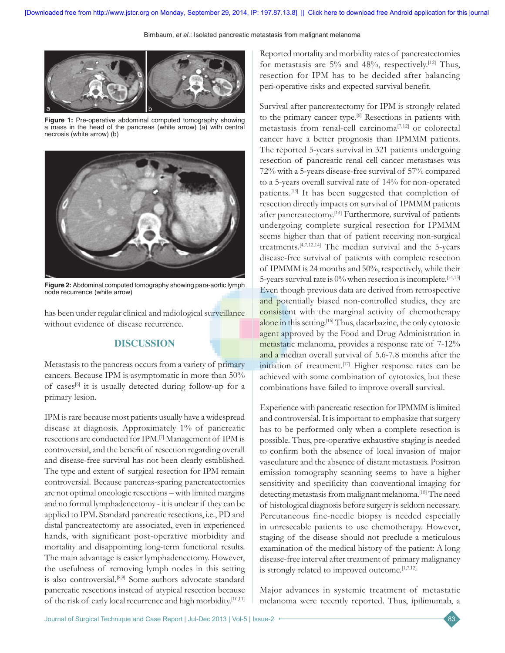Birnbaum, *et al*.: Isolated pancreatic metastasis from malignant melanoma



**Figure 1:** Pre-operative abdominal computed tomography showing a mass in the head of the pancreas (white arrow) (a) with central necrosis (white arrow) (b)



**Figure 2:** Abdominal computed tomography showing para-aortic lymph node recurrence (white arrow)

has been under regular clinical and radiological surveillance without evidence of disease recurrence.

# **DISCUSSION**

Metastasis to the pancreas occurs from a variety of primary cancers. Because IPM is asymptomatic in more than 50% of cases<sup>[6]</sup> it is usually detected during follow-up for a primary lesion.

IPM is rare because most patients usually have a widespread disease at diagnosis. Approximately 1% of pancreatic resections are conducted for IPM.[7] Management of IPM is controversial, and the benefit of resection regarding overall and disease-free survival has not been clearly established. The type and extent of surgical resection for IPM remain controversial. Because pancreas-sparing pancreatectomies are not optimal oncologic resections – with limited margins and no formal lymphadenectomy - it is unclear if they can be applied to IPM. Standard pancreatic resections, i.e., PD and distal pancreatectomy are associated, even in experienced hands, with significant post-operative morbidity and mortality and disappointing long-term functional results. The main advantage is easier lymphadenectomy. However, the usefulness of removing lymph nodes in this setting is also controversial.<sup>[8,9]</sup> Some authors advocate standard pancreatic resections instead of atypical resection because of the risk of early local recurrence and high morbidity.[10,11] Reported mortality and morbidity rates of pancreatectomies for metastasis are  $5\%$  and  $48\%$ , respectively.<sup>[12]</sup> Thus, resection for IPM has to be decided after balancing peri-operative risks and expected survival benefit.

Survival after pancreatectomy for IPM is strongly related to the primary cancer type.<sup>[6]</sup> Resections in patients with metastasis from renal-cell carcinoma[7,12] or colorectal cancer have a better prognosis than IPMMM patients. The reported 5-years survival in 321 patients undergoing resection of pancreatic renal cell cancer metastases was 72% with a 5-years disease-free survival of 57% compared to a 5-years overall survival rate of 14% for non-operated patients.[13] It has been suggested that completion of resection directly impacts on survival of IPMMM patients after pancreatectomy.[14] Furthermore*,* survival of patients undergoing complete surgical resection for IPMMM seems higher than that of patient receiving non-surgical treatments.[4,7,12,14] The median survival and the 5-years disease-free survival of patients with complete resection of IPMMM is 24 months and 50%, respectively, while their 5-years survival rate is 0% when resection is incomplete.[14,15] Even though previous data are derived from retrospective and potentially biased non-controlled studies, they are consistent with the marginal activity of chemotherapy alone in this setting.<sup>[16]</sup> Thus, dacarbazine, the only cytotoxic agent approved by the Food and Drug Administration in metastatic melanoma, provides a response rate of 7-12% and a median overall survival of 5.6-7.8 months after the initiation of treatment.<sup>[17]</sup> Higher response rates can be achieved with some combination of cytotoxics, but these combinations have failed to improve overall survival.

Experience with pancreatic resection for IPMMM is limited and controversial. It is important to emphasize that surgery has to be performed only when a complete resection is possible. Thus, pre-operative exhaustive staging is needed to confirm both the absence of local invasion of major vasculature and the absence of distant metastasis. Positron emission tomography scanning seems to have a higher sensitivity and specificity than conventional imaging for detecting metastasis from malignant melanoma.<sup>[18]</sup> The need of histological diagnosis before surgery is seldom necessary. Percutaneous fine-needle biopsy is needed especially in unresecable patients to use chemotherapy. However, staging of the disease should not preclude a meticulous examination of the medical history of the patient: A long disease-free interval after treatment of primary malignancy is strongly related to improved outcome.<sup>[1,7,12]</sup>

Major advances in systemic treatment of metastatic melanoma were recently reported. Thus, ipilimumab, a